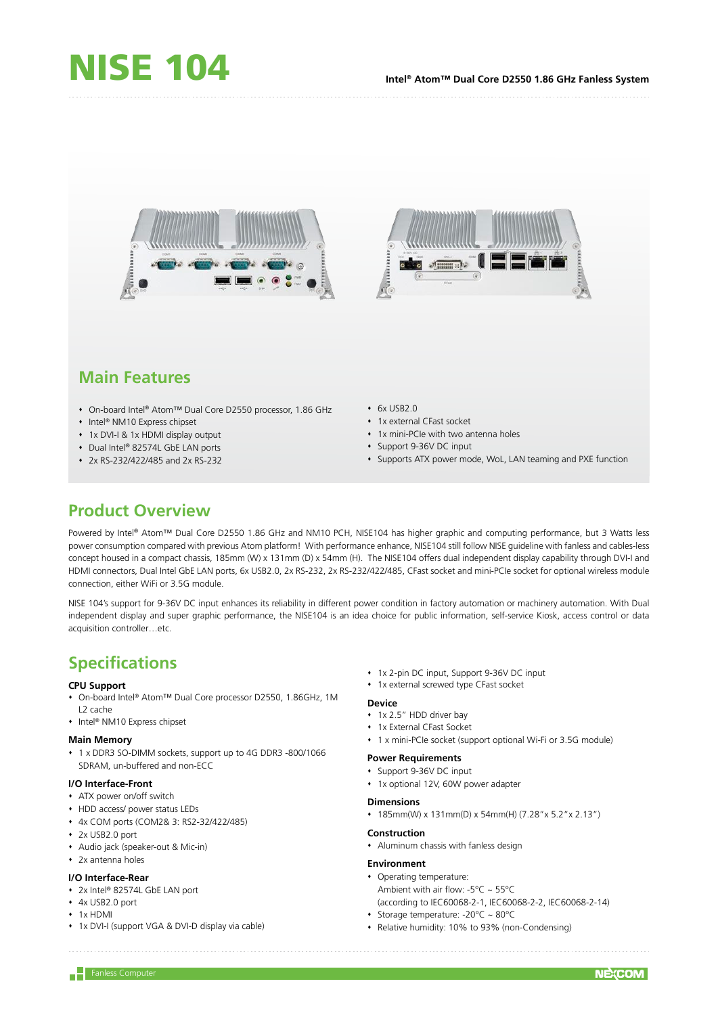



## **Main Features**

- On-board Intel® Atom™ Dual Core D2550 processor, 1.86 GHz
- Intel® NM10 Express chipset
- 1x DVI-I & 1x HDMI display output
- ◆ Dual Intel® 82574L GbE LAN ports
- 2x RS-232/422/485 and 2x RS-232
- 6x USB2.0
- 1x external CFast socket
- 1x mini-PCIe with two antenna holes
- Support 9-36V DC input
- Supports ATX power mode, WoL, LAN teaming and PXE function

## **Product Overview**

Powered by Intel® Atom™ Dual Core D2550 1.86 GHz and NM10 PCH, NISE104 has higher graphic and computing performance, but 3 Watts less power consumption compared with previous Atom platform! With performance enhance, NISE104 still follow NISE guideline with fanless and cables-less concept housed in a compact chassis, 185mm (W) x 131mm (D) x 54mm (H). The NISE104 offers dual independent display capability through DVI-I and HDMI connectors, Dual Intel GbE LAN ports, 6x USB2.0, 2x RS-232, 2x RS-232/422/485, CFast socket and mini-PCIe socket for optional wireless module connection, either WiFi or 3.5G module.

NISE 104's support for 9-36V DC input enhances its reliability in different power condition in factory automation or machinery automation. With Dual independent display and super graphic performance, the NISE104 is an idea choice for public information, self-service Kiosk, access control or data acquisition controller…etc.

## **Specifications**

#### **CPU Support**

- On-board Intel® Atom™ Dual Core processor D2550, 1.86GHz, 1M L2 cache
- Intel® NM10 Express chipset

#### **Main Memory**

 1 x DDR3 SO-DIMM sockets, support up to 4G DDR3 -800/1066 SDRAM, un-buffered and non-ECC

#### **I/O Interface-Front**

- ATX power on/off switch
- HDD access/ power status LEDs
- 4x COM ports (COM2& 3: RS2-32/422/485)
- 2x USB2.0 port
- Audio jack (speaker-out & Mic-in)
- 2x antenna holes

### **I/O Interface-Rear**

- 2x Intel® 82574L GbE LAN port
- 4x USB2.0 port
- $+ 1x$  HDMI
- 1x DVI-I (support VGA & DVI-D display via cable)
- 1x 2-pin DC input, Support 9-36V DC input
- 1x external screwed type CFast socket

#### **Device**

- 1x 2.5" HDD driver bay
- 1x External CFast Socket
- 1 x mini-PCIe socket (support optional Wi-Fi or 3.5G module)

#### **Power Requirements**

- Support 9-36V DC input
- 1x optional 12V, 60W power adapter

#### **Dimensions**

185mm(W) x 131mm(D) x 54mm(H) (7.28"x 5.2"x 2.13")

#### **Construction**

Aluminum chassis with fanless design

### **Environment**

- Operating temperature: Ambient with air flow: -5°C ~ 55°C
	- (according to IEC60068-2-1, IEC60068-2-2, IEC60068-2-14)
- Storage temperature: -20°C ~ 80°C
- Relative humidity: 10% to 93% (non-Condensing)